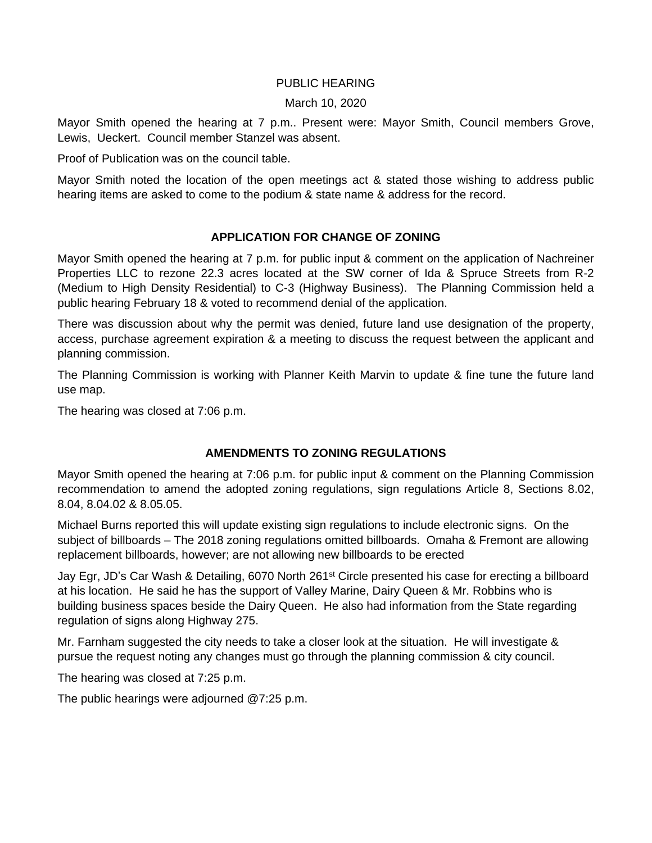## PUBLIC HEARING

### March 10, 2020

Mayor Smith opened the hearing at 7 p.m.. Present were: Mayor Smith, Council members Grove, Lewis, Ueckert. Council member Stanzel was absent.

Proof of Publication was on the council table.

Mayor Smith noted the location of the open meetings act & stated those wishing to address public hearing items are asked to come to the podium & state name & address for the record.

## **APPLICATION FOR CHANGE OF ZONING**

Mayor Smith opened the hearing at 7 p.m. for public input & comment on the application of Nachreiner Properties LLC to rezone 22.3 acres located at the SW corner of Ida & Spruce Streets from R-2 (Medium to High Density Residential) to C-3 (Highway Business). The Planning Commission held a public hearing February 18 & voted to recommend denial of the application.

There was discussion about why the permit was denied, future land use designation of the property, access, purchase agreement expiration & a meeting to discuss the request between the applicant and planning commission.

The Planning Commission is working with Planner Keith Marvin to update & fine tune the future land use map.

The hearing was closed at 7:06 p.m.

# **AMENDMENTS TO ZONING REGULATIONS**

Mayor Smith opened the hearing at 7:06 p.m. for public input & comment on the Planning Commission recommendation to amend the adopted zoning regulations, sign regulations Article 8, Sections 8.02, 8.04, 8.04.02 & 8.05.05.

Michael Burns reported this will update existing sign regulations to include electronic signs. On the subject of billboards – The 2018 zoning regulations omitted billboards. Omaha & Fremont are allowing replacement billboards, however; are not allowing new billboards to be erected

Jay Egr, JD's Car Wash & Detailing, 6070 North 261st Circle presented his case for erecting a billboard at his location. He said he has the support of Valley Marine, Dairy Queen & Mr. Robbins who is building business spaces beside the Dairy Queen. He also had information from the State regarding regulation of signs along Highway 275.

Mr. Farnham suggested the city needs to take a closer look at the situation. He will investigate & pursue the request noting any changes must go through the planning commission & city council.

The hearing was closed at 7:25 p.m.

The public hearings were adjourned @7:25 p.m.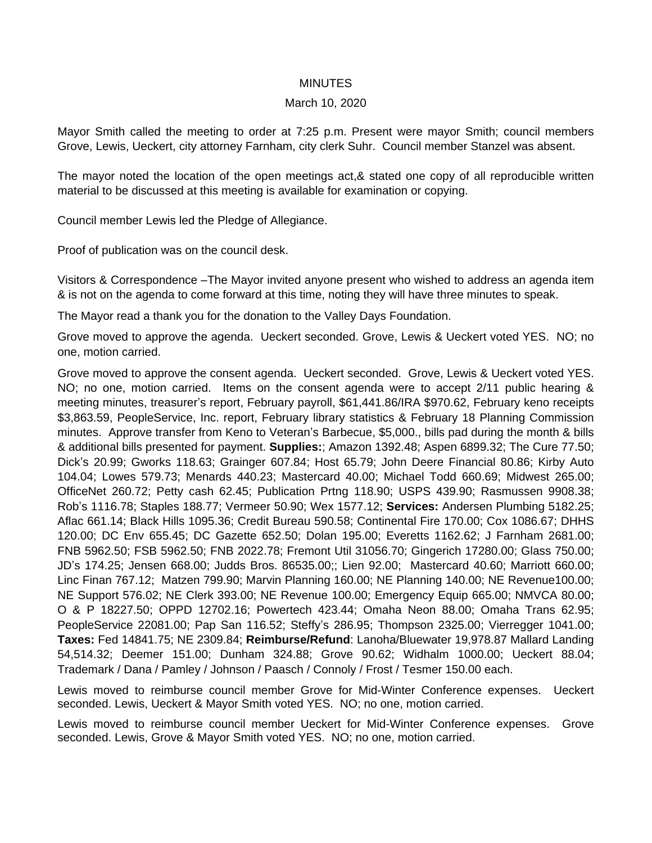### MINUTES

### March 10, 2020

Mayor Smith called the meeting to order at 7:25 p.m. Present were mayor Smith; council members Grove, Lewis, Ueckert, city attorney Farnham, city clerk Suhr. Council member Stanzel was absent.

The mayor noted the location of the open meetings act,& stated one copy of all reproducible written material to be discussed at this meeting is available for examination or copying.

Council member Lewis led the Pledge of Allegiance.

Proof of publication was on the council desk.

Visitors & Correspondence –The Mayor invited anyone present who wished to address an agenda item & is not on the agenda to come forward at this time, noting they will have three minutes to speak.

The Mayor read a thank you for the donation to the Valley Days Foundation.

Grove moved to approve the agenda. Ueckert seconded. Grove, Lewis & Ueckert voted YES. NO; no one, motion carried.

Grove moved to approve the consent agenda. Ueckert seconded. Grove, Lewis & Ueckert voted YES. NO; no one, motion carried. Items on the consent agenda were to accept 2/11 public hearing & meeting minutes, treasurer's report, February payroll, \$61,441.86/IRA \$970.62, February keno receipts \$3,863.59, PeopleService, Inc. report, February library statistics & February 18 Planning Commission minutes. Approve transfer from Keno to Veteran's Barbecue, \$5,000., bills pad during the month & bills & additional bills presented for payment. **Supplies:**; Amazon 1392.48; Aspen 6899.32; The Cure 77.50; Dick's 20.99; Gworks 118.63; Grainger 607.84; Host 65.79; John Deere Financial 80.86; Kirby Auto 104.04; Lowes 579.73; Menards 440.23; Mastercard 40.00; Michael Todd 660.69; Midwest 265.00; OfficeNet 260.72; Petty cash 62.45; Publication Prtng 118.90; USPS 439.90; Rasmussen 9908.38; Rob's 1116.78; Staples 188.77; Vermeer 50.90; Wex 1577.12; **Services:** Andersen Plumbing 5182.25; Aflac 661.14; Black Hills 1095.36; Credit Bureau 590.58; Continental Fire 170.00; Cox 1086.67; DHHS 120.00; DC Env 655.45; DC Gazette 652.50; Dolan 195.00; Everetts 1162.62; J Farnham 2681.00; FNB 5962.50; FSB 5962.50; FNB 2022.78; Fremont Util 31056.70; Gingerich 17280.00; Glass 750.00; JD's 174.25; Jensen 668.00; Judds Bros. 86535.00;; Lien 92.00; Mastercard 40.60; Marriott 660.00; Linc Finan 767.12; Matzen 799.90; Marvin Planning 160.00; NE Planning 140.00; NE Revenue100.00; NE Support 576.02; NE Clerk 393.00; NE Revenue 100.00; Emergency Equip 665.00; NMVCA 80.00; O & P 18227.50; OPPD 12702.16; Powertech 423.44; Omaha Neon 88.00; Omaha Trans 62.95; PeopleService 22081.00; Pap San 116.52; Steffy's 286.95; Thompson 2325.00; Vierregger 1041.00; **Taxes:** Fed 14841.75; NE 2309.84; **Reimburse/Refund**: Lanoha/Bluewater 19,978.87 Mallard Landing 54,514.32; Deemer 151.00; Dunham 324.88; Grove 90.62; Widhalm 1000.00; Ueckert 88.04; Trademark / Dana / Pamley / Johnson / Paasch / Connoly / Frost / Tesmer 150.00 each.

Lewis moved to reimburse council member Grove for Mid-Winter Conference expenses. Ueckert seconded. Lewis, Ueckert & Mayor Smith voted YES. NO; no one, motion carried.

Lewis moved to reimburse council member Ueckert for Mid-Winter Conference expenses. Grove seconded. Lewis, Grove & Mayor Smith voted YES. NO; no one, motion carried.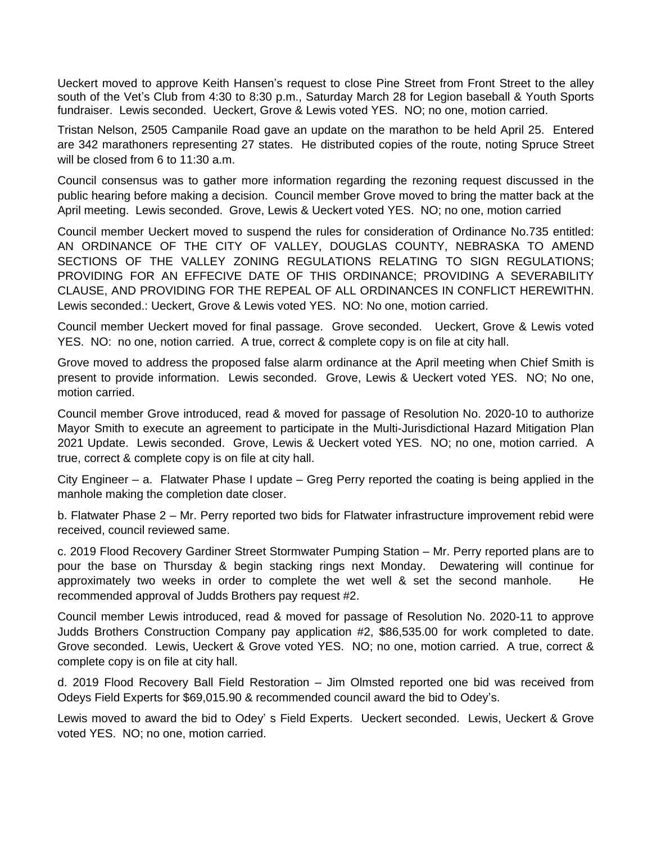Ueckert moved to approve Keith Hansen's request to close Pine Street from Front Street to the alley south of the Vet's Club from 4:30 to 8:30 p.m., Saturday March 28 for Legion baseball & Youth Sports fundraiser. Lewis seconded. Ueckert, Grove & Lewis voted YES. NO; no one, motion carried.

Tristan Nelson, 2505 Campanile Road gave an update on the marathon to be held April 25. Entered are 342 marathoners representing 27 states. He distributed copies of the route, noting Spruce Street will be closed from 6 to 11:30 a.m.

Council consensus was to gather more information regarding the rezoning request discussed in the public hearing before making a decision. Council member Grove moved to bring the matter back at the April meeting. Lewis seconded. Grove, Lewis & Ueckert voted YES. NO; no one, motion carried

Council member Ueckert moved to suspend the rules for consideration of Ordinance No.735 entitled: AN ORDINANCE OF THE CITY OF VALLEY, DOUGLAS COUNTY, NEBRASKA TO AMEND SECTIONS OF THE VALLEY ZONING REGULATIONS RELATING TO SIGN REGULATIONS; PROVIDING FOR AN EFFECIVE DATE OF THIS ORDINANCE; PROVIDING A SEVERABILITY CLAUSE, AND PROVIDING FOR THE REPEAL OF ALL ORDINANCES IN CONFLICT HEREWITHN. Lewis seconded.: Ueckert, Grove & Lewis voted YES. NO: No one, motion carried.

Council member Ueckert moved for final passage. Grove seconded. Ueckert, Grove & Lewis voted YES. NO: no one, notion carried. A true, correct & complete copy is on file at city hall.

Grove moved to address the proposed false alarm ordinance at the April meeting when Chief Smith is present to provide information. Lewis seconded. Grove, Lewis & Ueckert voted YES. NO; No one, motion carried.

Council member Grove introduced, read & moved for passage of Resolution No. 2020-10 to authorize Mayor Smith to execute an agreement to participate in the Multi-Jurisdictional Hazard Mitigation Plan 2021 Update. Lewis seconded. Grove, Lewis & Ueckert voted YES. NO; no one, motion carried. A true, correct & complete copy is on file at city hall.

City Engineer – a. Flatwater Phase I update – Greg Perry reported the coating is being applied in the manhole making the completion date closer.

b. Flatwater Phase 2 – Mr. Perry reported two bids for Flatwater infrastructure improvement rebid were received, council reviewed same.

c. 2019 Flood Recovery Gardiner Street Stormwater Pumping Station – Mr. Perry reported plans are to pour the base on Thursday & begin stacking rings next Monday. Dewatering will continue for approximately two weeks in order to complete the wet well & set the second manhole. He recommended approval of Judds Brothers pay request #2.

Council member Lewis introduced, read & moved for passage of Resolution No. 2020-11 to approve Judds Brothers Construction Company pay application #2, \$86,535.00 for work completed to date. Grove seconded. Lewis, Ueckert & Grove voted YES. NO; no one, motion carried. A true, correct & complete copy is on file at city hall.

d. 2019 Flood Recovery Ball Field Restoration – Jim Olmsted reported one bid was received from Odeys Field Experts for \$69,015.90 & recommended council award the bid to Odey's.

Lewis moved to award the bid to Odey' s Field Experts. Ueckert seconded. Lewis, Ueckert & Grove voted YES. NO; no one, motion carried.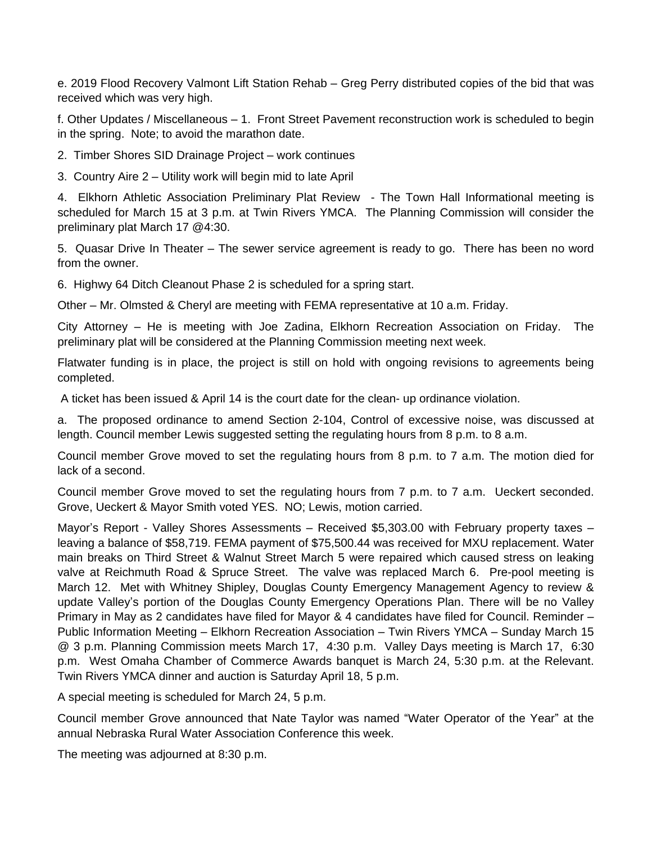e. 2019 Flood Recovery Valmont Lift Station Rehab – Greg Perry distributed copies of the bid that was received which was very high.

f. Other Updates / Miscellaneous – 1. Front Street Pavement reconstruction work is scheduled to begin in the spring. Note; to avoid the marathon date.

2. Timber Shores SID Drainage Project – work continues

3. Country Aire 2 – Utility work will begin mid to late April

4. Elkhorn Athletic Association Preliminary Plat Review - The Town Hall Informational meeting is scheduled for March 15 at 3 p.m. at Twin Rivers YMCA. The Planning Commission will consider the preliminary plat March 17 @4:30.

5. Quasar Drive In Theater – The sewer service agreement is ready to go. There has been no word from the owner.

6. Highwy 64 Ditch Cleanout Phase 2 is scheduled for a spring start.

Other – Mr. Olmsted & Cheryl are meeting with FEMA representative at 10 a.m. Friday.

City Attorney – He is meeting with Joe Zadina, Elkhorn Recreation Association on Friday. The preliminary plat will be considered at the Planning Commission meeting next week.

Flatwater funding is in place, the project is still on hold with ongoing revisions to agreements being completed.

A ticket has been issued & April 14 is the court date for the clean- up ordinance violation.

a. The proposed ordinance to amend Section 2-104, Control of excessive noise, was discussed at length. Council member Lewis suggested setting the regulating hours from 8 p.m. to 8 a.m.

Council member Grove moved to set the regulating hours from 8 p.m. to 7 a.m. The motion died for lack of a second.

Council member Grove moved to set the regulating hours from 7 p.m. to 7 a.m. Ueckert seconded. Grove, Ueckert & Mayor Smith voted YES. NO; Lewis, motion carried.

Mayor's Report - Valley Shores Assessments – Received \$5,303.00 with February property taxes – leaving a balance of \$58,719. FEMA payment of \$75,500.44 was received for MXU replacement. Water main breaks on Third Street & Walnut Street March 5 were repaired which caused stress on leaking valve at Reichmuth Road & Spruce Street. The valve was replaced March 6. Pre-pool meeting is March 12. Met with Whitney Shipley, Douglas County Emergency Management Agency to review & update Valley's portion of the Douglas County Emergency Operations Plan. There will be no Valley Primary in May as 2 candidates have filed for Mayor & 4 candidates have filed for Council. Reminder – Public Information Meeting – Elkhorn Recreation Association – Twin Rivers YMCA – Sunday March 15 @ 3 p.m. Planning Commission meets March 17, 4:30 p.m. Valley Days meeting is March 17, 6:30 p.m. West Omaha Chamber of Commerce Awards banquet is March 24, 5:30 p.m. at the Relevant. Twin Rivers YMCA dinner and auction is Saturday April 18, 5 p.m.

A special meeting is scheduled for March 24, 5 p.m.

Council member Grove announced that Nate Taylor was named "Water Operator of the Year" at the annual Nebraska Rural Water Association Conference this week.

The meeting was adjourned at 8:30 p.m.